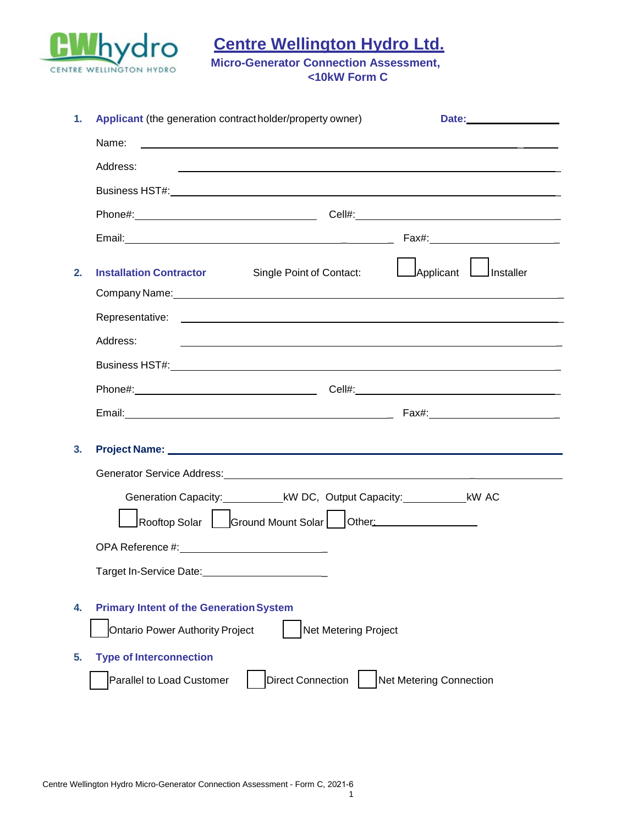

**Centre Wellington Hydro Ltd.**

**Micro-Generator Connection Assessment, <10kW Form C**

| 1. | Applicant (the generation contract holder/property owner)<br>Date: <u>Date: Expression and the set of the set of the set of the set of the set of the set of the set of the set of the set of the set of the set of the set of the set of the set of the set of the set of the set of the set</u> |
|----|---------------------------------------------------------------------------------------------------------------------------------------------------------------------------------------------------------------------------------------------------------------------------------------------------|
|    | Name:<br><u> 1990 - Johann John Stone, markin fan it ferstjer fan de ferstjer fan it ferstjer fan it ferstjer fan it fers</u>                                                                                                                                                                     |
|    | Address:<br><u> 1989 - Johann Stoff, amerikansk politiker (d. 1989)</u>                                                                                                                                                                                                                           |
|    |                                                                                                                                                                                                                                                                                                   |
|    |                                                                                                                                                                                                                                                                                                   |
|    |                                                                                                                                                                                                                                                                                                   |
| 2. | Applicant Linstaller<br>Single Point of Contact:<br><b>Installation Contractor</b><br>Company Name: 1980 Company Name: 1980 Company Name: 1980 Company Name: 1980 Company Name: 1980 Company Name: 1                                                                                              |
|    | Representative: <u>contract and contract and contract and contract and contract and contract and contract and contract and contract and contract and contract and contract and contract and contract and contract and contract a</u>                                                              |
|    | Address:<br><u> 1989 - Johann John Stone, meilich aus der Stone († 1989)</u>                                                                                                                                                                                                                      |
|    |                                                                                                                                                                                                                                                                                                   |
|    |                                                                                                                                                                                                                                                                                                   |
|    |                                                                                                                                                                                                                                                                                                   |
| 3. |                                                                                                                                                                                                                                                                                                   |
|    | Generator Service Address: Management of the Contract of the Contract of the Contract of the Contract of the Contract of the Contract of the Contract of the Contract of the Contract of the Contract of the Contract of the C                                                                    |
|    | Generation Capacity: ______________kW DC, Output Capacity: ________________kW AC                                                                                                                                                                                                                  |
|    | Rooftop Solar   Ground Mount Solar   Other: ________________                                                                                                                                                                                                                                      |
|    |                                                                                                                                                                                                                                                                                                   |
|    |                                                                                                                                                                                                                                                                                                   |
| 4. | <b>Primary Intent of the Generation System</b><br>Net Metering Project<br>Ontario Power Authority Project                                                                                                                                                                                         |
| 5. | <b>Type of Interconnection</b>                                                                                                                                                                                                                                                                    |
|    | Net Metering Connection<br><b>Direct Connection</b><br>Parallel to Load Customer                                                                                                                                                                                                                  |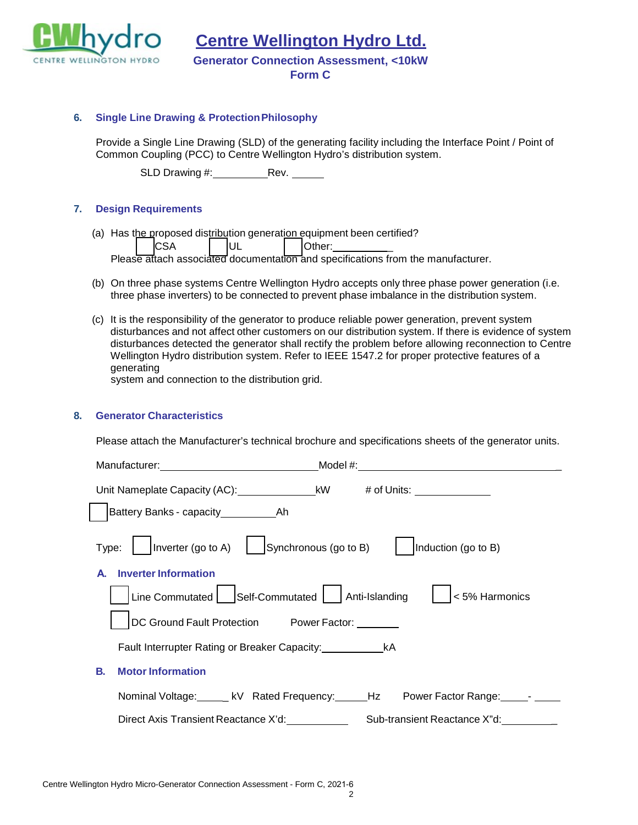

**Centre Wellington Hydro Ltd.**

**Generator Connection Assessment, <10kW** 

**Form C**

### **6. Single Line Drawing & ProtectionPhilosophy**

Provide a Single Line Drawing (SLD) of the generating facility including the Interface Point / Point of Common Coupling (PCC) to Centre Wellington Hydro's distribution system.

SLD Drawing #: Rev.

### **7. Design Requirements**

(a) Has the proposed distribution generation equipment been certified?

CSA │ UL │ Other: Please attach associated documentation and specifications from the manufacturer.

- (b) On three phase systems Centre Wellington Hydro accepts only three phase power generation (i.e. three phase inverters) to be connected to prevent phase imbalance in the distribution system.
- (c) It is the responsibility of the generator to produce reliable power generation, prevent system disturbances and not affect other customers on our distribution system. If there is evidence of system disturbances detected the generator shall rectify the problem before allowing reconnection to Centre Wellington Hydro distribution system. Refer to IEEE 1547.2 for proper protective features of a generating

system and connection to the distribution grid.

### **8. Generator Characteristics**

Please attach the Manufacturer's technical brochure and specifications sheets of the generator units.

| $\vert$ $\vert$ Inverter (go to A) $\vert$ Synchronous (go to B)<br>Induction (go to B)<br>Type: |
|--------------------------------------------------------------------------------------------------|
| <b>Inverter Information</b>                                                                      |
| Line Commutated Self-Commutated Anti-Islanding<br>< 5% Harmonics                                 |
| DC Ground Fault Protection Power Factor: 1997                                                    |
| Fault Interrupter Rating or Breaker Capacity: ___________________________________                |
| <b>Motor Information</b><br>В.                                                                   |
| Nominal Voltage: Level & Rated Frequency: Level Hz Power Factor Range: Level Level 1             |
| Direct Axis Transient Reactance X'd:<br>Sub-transient Reactance X"d:                             |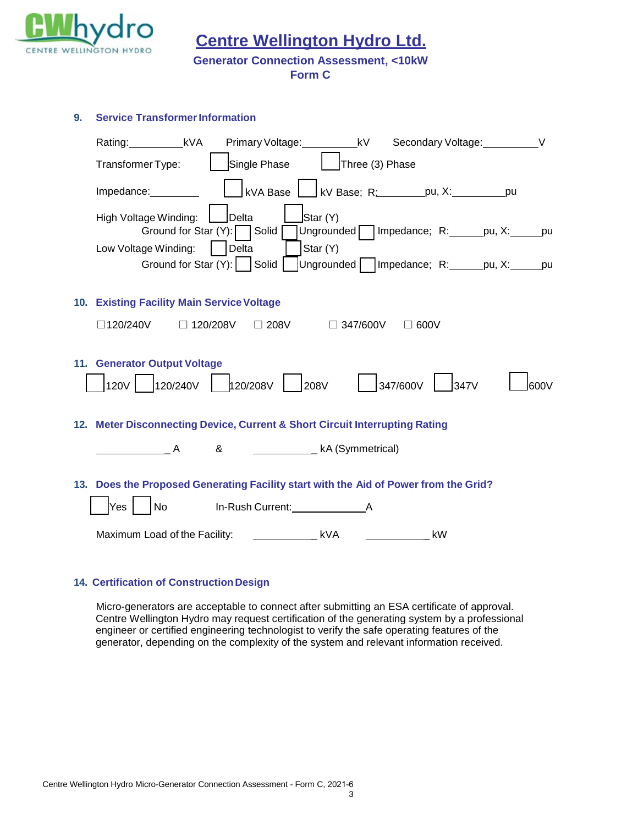

**9. Service Transformer Information** 

**Centre Wellington Hydro Ltd.**

## **Generator Connection Assessment, <10kW**

**Form C**

| Primary Voltage: ___________kV Secondary Voltage: ___________V<br>Rating: _____________kVA                                                                                                                                                                                                                                                                                                                                                                                                        |
|---------------------------------------------------------------------------------------------------------------------------------------------------------------------------------------------------------------------------------------------------------------------------------------------------------------------------------------------------------------------------------------------------------------------------------------------------------------------------------------------------|
| Single Phase<br>  Three (3) Phase<br>Transformer Type:                                                                                                                                                                                                                                                                                                                                                                                                                                            |
| Impedance:                                                                                                                                                                                                                                                                                                                                                                                                                                                                                        |
| Star (Y)<br>High Voltage Winding:<br>Delta<br>Ungrounded   Impedance; R: _ _ _ pu, X: _ _ _ pu<br>Ground for Star (Y): Solid                                                                                                                                                                                                                                                                                                                                                                      |
| Star (Y)<br>Delta<br>Low Voltage Winding:<br>Ground for Star (Y):   Solid<br>Ungrounded   Impedance; R: _ _ _ pu, X: _ _ _ pu                                                                                                                                                                                                                                                                                                                                                                     |
| 10. Existing Facility Main Service Voltage                                                                                                                                                                                                                                                                                                                                                                                                                                                        |
| $\Box$ 120/240V $\Box$ 120/208V $\Box$ 208V $\Box$ 347/600V $\Box$ 600V                                                                                                                                                                                                                                                                                                                                                                                                                           |
| 11. Generator Output Voltage<br> 120/240V   120/208V   208V   1347/600V<br>120V<br>347V<br>600V                                                                                                                                                                                                                                                                                                                                                                                                   |
| 12. Meter Disconnecting Device, Current & Short Circuit Interrupting Rating                                                                                                                                                                                                                                                                                                                                                                                                                       |
| & Commetrical)<br>$\overline{\phantom{a}}$ $\overline{\phantom{a}}$ $\overline{\phantom{a}}$ $\overline{\phantom{a}}$ $\overline{\phantom{a}}$ $\overline{\phantom{a}}$ $\overline{\phantom{a}}$ $\overline{\phantom{a}}$ $\overline{\phantom{a}}$ $\overline{\phantom{a}}$ $\overline{\phantom{a}}$ $\overline{\phantom{a}}$ $\overline{\phantom{a}}$ $\overline{\phantom{a}}$ $\overline{\phantom{a}}$ $\overline{\phantom{a}}$ $\overline{\phantom{a}}$ $\overline{\phantom{a}}$ $\overline{\$ |
| 13. Does the Proposed Generating Facility start with the Aid of Power from the Grid?<br>Yes<br>No In-Rush Current: A                                                                                                                                                                                                                                                                                                                                                                              |
| Maximum Load of the Facility: Laterally and Levin Maximum Load of the Facility:<br>kW<br>and the state of the                                                                                                                                                                                                                                                                                                                                                                                     |

# **14. Certification of Construction Design**

Micro-generators are acceptable to connect after submitting an ESA certificate of approval. Centre Wellington Hydro may request certification of the generating system by a professional engineer or certified engineering technologist to verify the safe operating features of the generator, depending on the complexity of the system and relevant information received.